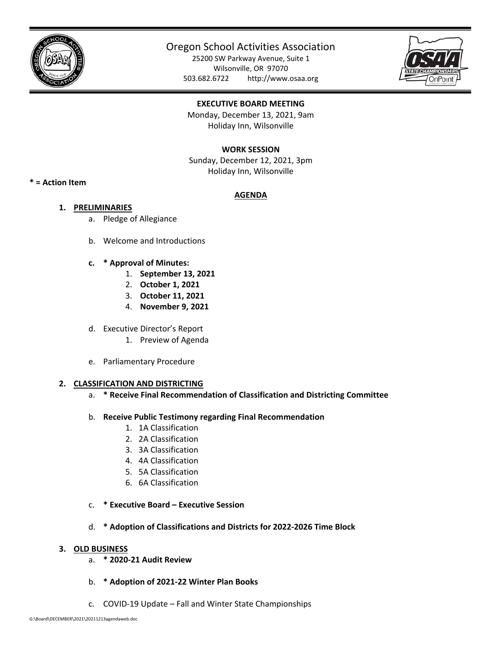

# Oregon School Activities Association

25200 SW Parkway Avenue, Suite 1 Wilsonville, OR 97070 503.682.6722 http://www.osaa.org



# **EXECUTIVE BOARD MEETING**

Monday, December 13, 2021, 9am Holiday Inn, Wilsonville

## **WORK SESSION**

Sunday, December 12, 2021, 3pm Holiday Inn, Wilsonville

## **\* = Action Item**

# **AGENDA**

- **1. PRELIMINARIES** 
	- a. Pledge of Allegiance
	- b. Welcome and Introductions
	- **c. \* Approval of Minutes:** 
		- 1. **September 13, 2021**
		- 2. **October 1, 2021**
		- 3. **October 11, 2021**
		- 4. **November 9, 2021**
	- d. Executive Director's Report
		- 1. Preview of Agenda
	- e. Parliamentary Procedure

#### **2. CLASSIFICATION AND DISTRICTING**

- a. **\* Receive Final Recommendation of Classification and Districting Committee**
- b. **Receive Public Testimony regarding Final Recommendation** 
	- 1. 1A Classification
	- 2. 2A Classification
	- 3. 3A Classification
	- 4. 4A Classification
	- 5. 5A Classification
	- 6. 6A Classification
- c. **\* Executive Board Executive Session**
- d. **\* Adoption of Classifications and Districts for 2022‐2026 Time Block**

#### **3. OLD BUSINESS**

- a. **\* 2020‐21 Audit Review**
- b. **\* Adoption of 2021‐22 Winter Plan Books**
- c. COVID‐19 Update Fall and Winter State Championships